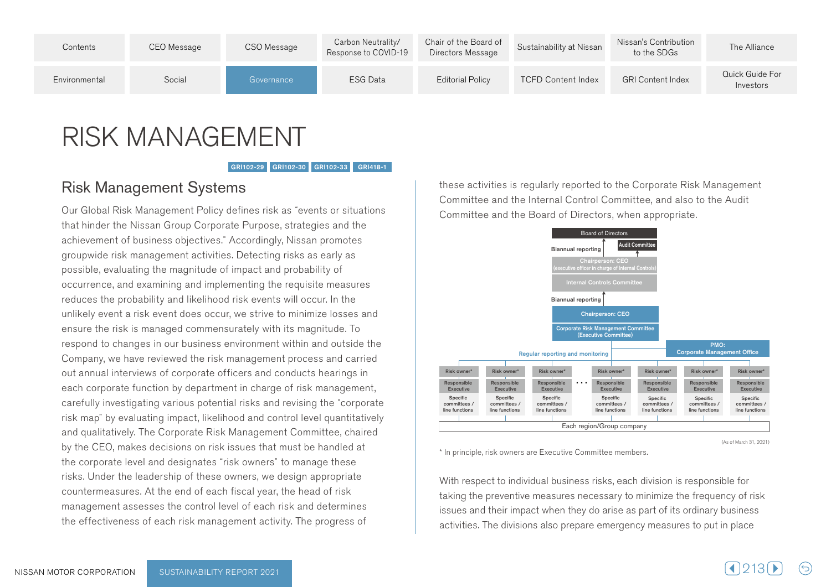

## RISK MANAGEMENT

GRI102-29 GRI102-30 GRI102-33 GRI418-1

## **Risk Management Systems**

Our Global Risk Management Policy defines risk as "events or situations" that hinder the Nissan Group Corporate Purpose, strategies and the achievement of business objectives." Accordingly, Nissan promotes groupwide risk management activities. Detecting risks as early as possible, evaluating the magnitude of impact and probability of occurrence, and examining and implementing the requisite measures reduces the probability and likelihood risk events will occur. In the unlikely event a risk event does occur, we strive to minimize losses and ensure the risk is managed commensurately with its magnitude. To respond to changes in our business environment within and outside the Company, we have reviewed the risk management process and carried out annual interviews of corporate officers and conducts hearings in each corporate function by department in charge of risk management, carefully investigating various potential risks and revising the "corporate" risk map" by evaluating impact, likelihood and control level quantitatively and qualitatively. The Corporate Risk Management Committee, chaired by the CEO, makes decisions on risk issues that must be handled at the corporate level and designates "risk owners" to manage these risks. Under the leadership of these owners, we design appropriate countermeasures. At the end of each fiscal year, the head of risk management assesses the control level of each risk and determines the effectiveness of each risk management activity. The progress of

these activities is regularly reported to the Corporate Risk Management Committee and the Internal Control Committee, and also to the Audit Committee and the Board of Directors, when appropriate.



(As of March 31, 2021)

\* In principle, risk owners are Executive Committee members.

With respect to individual business risks, each division is responsible for taking the preventive measures necessary to minimize the frequency of risk issues and their impact when they do arise as part of its ordinary business activities. The divisions also prepare emergency measures to put in place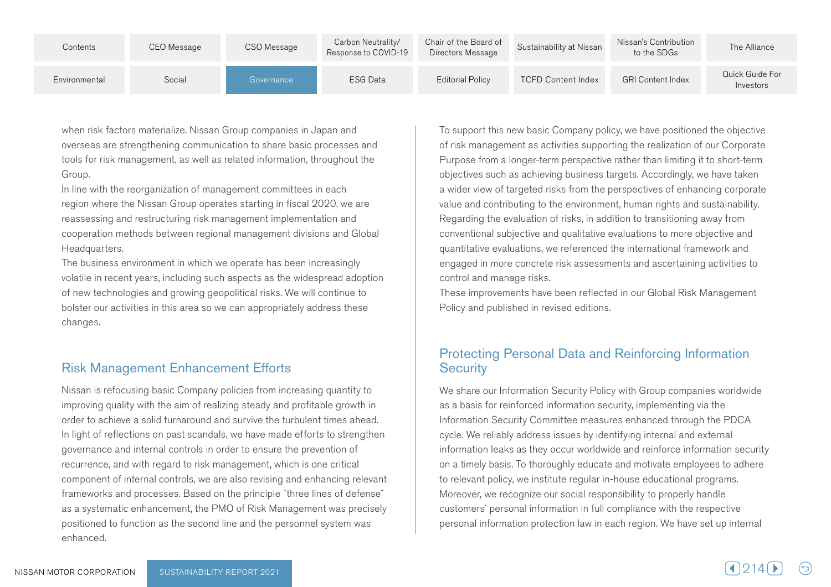| Contents      | CEO Message | CSO Message | Carbon Neutrality/<br>Response to COVID-19 | Chair of the Board of<br>Directors Message | Sustainability at Nissan  | Nissan's Contribution<br>to the SDGs | The Alliance                 |
|---------------|-------------|-------------|--------------------------------------------|--------------------------------------------|---------------------------|--------------------------------------|------------------------------|
| Environmental | Social      | Governance  | <b>ESG Data</b>                            | <b>Editorial Policy</b>                    | <b>TCFD Content Index</b> | <b>GRI Content Index</b>             | Quick Guide For<br>Investors |

when risk factors materialize. Nissan Group companies in Japan and overseas are strengthening communication to share basic processes and tools for risk management, as well as related information, throughout the .Group

In line with the reorganization of management committees in each region where the Nissan Group operates starting in fiscal 2020, we are reassessing and restructuring risk management implementation and cooperation methods between regional management divisions and Global Headquarters.

The business environment in which we operate has been increasingly volatile in recent years, including such aspects as the widespread adoption of new technologies and growing geopolitical risks. We will continue to bolster our activities in this area so we can appropriately address these .changes

## **Risk Management Enhancement Efforts**

Nissan is refocusing basic Company policies from increasing quantity to improving quality with the aim of realizing steady and profitable growth in order to achieve a solid turnaround and survive the turbulent times ahead. In light of reflections on past scandals, we have made efforts to strengthen governance and internal controls in order to ensure the prevention of recurrence, and with regard to risk management, which is one critical component of internal controls, we are also revising and enhancing relevant frameworks and processes. Based on the principle "three lines of defense" as a systematic enhancement, the PMO of Risk Management was precisely positioned to function as the second line and the personnel system was .enhanced

To support this new basic Company policy, we have positioned the objective of risk management as activities supporting the realization of our Corporate Purpose from a longer-term perspective rather than limiting it to short-term objectives such as achieving business targets. Accordingly, we have taken a wider view of targeted risks from the perspectives of enhancing corporate value and contributing to the environment, human rights and sustainability. Regarding the evaluation of risks, in addition to transitioning away from conventional subjective and qualitative evaluations to more objective and quantitative evaluations, we referenced the international framework and engaged in more concrete risk assessments and ascertaining activities to control and manage risks.

These improvements have been reflected in our Global Risk Management Policy and published in revised editions.

## Protecting Personal Data and Reinforcing Information **Security**

We share our Information Security Policy with Group companies worldwide as a basis for reinforced information security, implementing via the Information Security Committee measures enhanced through the PDCA cycle. We reliably address issues by identifying internal and external information leaks as they occur worldwide and reinforce information security on a timely basis. To thoroughly educate and motivate employees to adhere to relevant policy, we institute regular in-house educational programs. Moreover, we recognize our social responsibility to properly handle customers' personal information in full compliance with the respective personal information protection law in each region. We have set up internal